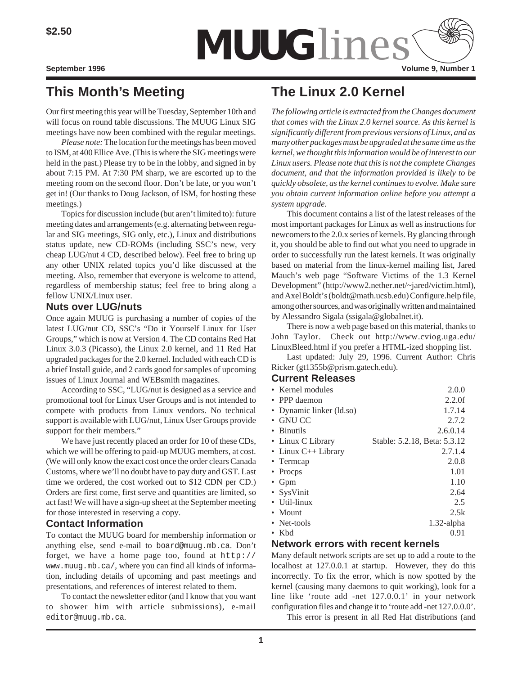

# **This Month's Meeting**

Our first meeting this year will be Tuesday, September 10th and will focus on round table discussions. The MUUG Linux SIG meetings have now been combined with the regular meetings.

*Please note:* The location for the meetings has been moved to ISM, at 400 Ellice Ave. (This is where the SIG meetings were held in the past.) Please try to be in the lobby, and signed in by about 7:15 PM. At 7:30 PM sharp, we are escorted up to the meeting room on the second floor. Don't be late, or you won't get in! (Our thanks to Doug Jackson, of ISM, for hosting these meetings.)

Topics for discussion include (but aren't limited to): future meeting dates and arrangements (e.g. alternating between regular and SIG meetings, SIG only, etc.), Linux and distributions status update, new CD-ROMs (including SSC's new, very cheap LUG/nut 4 CD, described below). Feel free to bring up any other UNIX related topics you'd like discussed at the meeting. Also, remember that everyone is welcome to attend, regardless of membership status; feel free to bring along a fellow UNIX/Linux user.

#### **Nuts over LUG/nuts**

Once again MUUG is purchasing a number of copies of the latest LUG/nut CD, SSC's "Do it Yourself Linux for User Groups," which is now at Version 4. The CD contains Red Hat Linux 3.0.3 (Picasso), the Linux 2.0 kernel, and 11 Red Hat upgraded packages for the 2.0 kernel. Included with each CD is a brief Install guide, and 2 cards good for samples of upcoming issues of Linux Journal and WEBsmith magazines.

According to SSC, "LUG/nut is designed as a service and promotional tool for Linux User Groups and is not intended to compete with products from Linux vendors. No technical support is available with LUG/nut, Linux User Groups provide support for their members."

We have just recently placed an order for 10 of these CDs, which we will be offering to paid-up MUUG members, at cost. (We will only know the exact cost once the order clears Canada Customs, where we'll no doubt have to pay duty and GST. Last time we ordered, the cost worked out to \$12 CDN per CD.) Orders are first come, first serve and quantities are limited, so act fast! We will have a sign-up sheet at the September meeting for those interested in reserving a copy.

# **Contact Information**

To contact the MUUG board for membership information or anything else, send e-mail to board@muug.mb.ca. Don't forget, we have a home page too, found at http:// www.muug.mb.ca/, where you can find all kinds of information, including details of upcoming and past meetings and presentations, and references of interest related to them.

To contact the newsletter editor (and I know that you want to shower him with article submissions), e-mail editor@muug.mb.ca.

# **The Linux 2.0 Kernel**

*The following article is extracted from the Changes document that comes with the Linux 2.0 kernel source. As this kernel is significantly different from previous versions of Linux, and as many other packages must be upgraded at the same time as the kernel, we thought this information would be of interest to our Linux users. Please note that this is not the complete Changes document, and that the information provided is likely to be quickly obsolete, as the kernel continues to evolve. Make sure you obtain current information online before you attempt a system upgrade.*

This document contains a list of the latest releases of the most important packages for Linux as well as instructions for newcomers to the 2.0.x series of kernels. By glancing through it, you should be able to find out what you need to upgrade in order to successfully run the latest kernels. It was originally based on material from the linux-kernel mailing list, Jared Mauch's web page "Software Victims of the 1.3 Kernel Development" (http://www2.nether.net/~jared/victim.html), and Axel Boldt's (boldt@math.ucsb.edu) Configure.help file, among other sources, and was originally written and maintained by Alessandro Sigala (ssigala@globalnet.it).

There is now a web page based on this material, thanks to John Taylor. Check out http://www.cviog.uga.edu/ LinuxBleed.html if you prefer a HTML-ized shopping list.

Last updated: July 29, 1996. Current Author: Chris Ricker (gt1355b@prism.gatech.edu).

### **Current Releases**

| oun onli kolouscs        |                              |
|--------------------------|------------------------------|
| • Kernel modules         | 2.0.0                        |
| • PPP daemon             | $2.2.0$ f                    |
| • Dynamic linker (ld.so) | 1.7.14                       |
| • GNU CC                 | 2.7.2                        |
| • Binutils               | 2.6.0.14                     |
| • Linux C Library        | Stable: 5.2.18, Beta: 5.3.12 |
| • Linux $C_{++}$ Library | 2.7.1.4                      |
| • Termcap                | 2.0.8                        |
| • Procps                 | 1.01                         |
| $\bullet$ Gpm            | 1.10                         |
| • SysVinit               | 2.64                         |
| • Util-linux             | 2.5                          |
| • Mount                  | 2.5k                         |
| • Net-tools              | $1.32$ -alpha                |
| • $Kbd$                  | 0.91                         |

### **Network errors with recent kernels**

Many default network scripts are set up to add a route to the localhost at 127.0.0.1 at startup. However, they do this incorrectly. To fix the error, which is now spotted by the kernel (causing many daemons to quit working), look for a line like 'route add -net 127.0.0.1' in your network configuration files and change it to 'route add -net 127.0.0.0'.

This error is present in all Red Hat distributions (and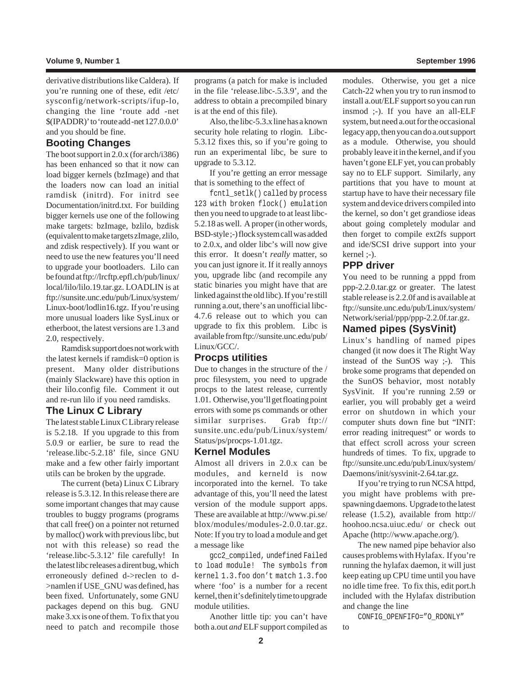#### **Volume 9, Number 1 September 1996**

derivative distributions like Caldera). If you're running one of these, edit /etc/ sysconfig/network-scripts/ifup-lo, changing the line 'route add -net \$(IPADDR)' to 'route add -net 127.0.0.0' and you should be fine.

#### **Booting Changes**

The boot support in 2.0.x (for arch/i386) has been enhanced so that it now can load bigger kernels (bzImage) and that the loaders now can load an initial ramdisk (initrd). For initrd see Documentation/initrd.txt. For building bigger kernels use one of the following make targets: bzImage, bzlilo, bzdisk (equivalent to make targets zImage, zlilo, and zdisk respectively). If you want or need to use the new features you'll need to upgrade your bootloaders. Lilo can be found at ftp://lrcftp.epfl.ch/pub/linux/ local/lilo/lilo.19.tar.gz. LOADLIN is at ftp://sunsite.unc.edu/pub/Linux/system/ Linux-boot/lodlin16.tgz. If you're using more unusual loaders like SysLinux or etherboot, the latest versions are 1.3 and 2.0, respectively.

Ramdisk support does not work with the latest kernels if ramdisk=0 option is present. Many older distributions (mainly Slackware) have this option in their lilo.config file. Comment it out and re-run lilo if you need ramdisks.

#### **The Linux C Library**

The latest stable Linux C Library release is 5.2.18. If you upgrade to this from 5.0.9 or earlier, be sure to read the 'release.libc-5.2.18' file, since GNU make and a few other fairly important utils can be broken by the upgrade.

The current (beta) Linux C Library release is 5.3.12. In this release there are some important changes that may cause troubles to buggy programs (programs that call free() on a pointer not returned by malloc() work with previous libc, but not with this release) so read the 'release.libc-5.3.12' file carefully! In the latest libc releases a dirent bug, which erroneously defined d->reclen to d- >namlen if USE\_GNU was defined, has been fixed. Unfortunately, some GNU packages depend on this bug. GNU make 3.xx is one of them. To fix that you need to patch and recompile those

programs (a patch for make is included in the file 'release.libc-.5.3.9', and the address to obtain a precompiled binary is at the end of this file).

Also, the libc-5.3.x line has a known security hole relating to rlogin. Libc-5.3.12 fixes this, so if you're going to run an experimental libc, be sure to upgrade to 5.3.12.

If you're getting an error message that is something to the effect of

fcntl\_setlk() called by process 123 with broken flock() emulation then you need to upgrade to at least libc-5.2.18 as well. A proper (in other words, BSD-style ;-) flock system call was added to 2.0.x, and older libc's will now give this error. It doesn't *really* matter, so you can just ignore it. If it really annoys you, upgrade libc (and recompile any static binaries you might have that are linked against the old libc). If you're still running a.out, there's an unofficial libc-4.7.6 release out to which you can upgrade to fix this problem. Libc is available from ftp://sunsite.unc.edu/pub/ Linux/GCC/.

#### **Procps utilities**

Due to changes in the structure of the / proc filesystem, you need to upgrade procps to the latest release, currently 1.01. Otherwise, you'll get floating point errors with some ps commands or other similar surprises. Grab ftp:// sunsite.unc.edu/pub/Linux/system/ Status/ps/procps-1.01.tgz.

#### **Kernel Modules**

Almost all drivers in 2.0.x can be modules, and kerneld is now incorporated into the kernel. To take advantage of this, you'll need the latest version of the module support apps. These are available at http://www.pi.se/ blox/modules/modules-2.0.0.tar.gz. Note: If you try to load a module and get a message like

gcc2\_compiled, undefined Failed to load module! The symbols from kernel 1.3.foo don't match 1.3.foo where 'foo' is a number for a recent kernel, then it's definitely time to upgrade module utilities.

Another little tip: you can't have both a.out *and* ELF support compiled as modules. Otherwise, you get a nice Catch-22 when you try to run insmod to install a.out/ELF support so you can run insmod ;-). If you have an all-ELF system, but need a.out for the occasional legacy app, then you can do a.out support as a module. Otherwise, you should probably leave it in the kernel, and if you haven't gone ELF yet, you can probably say no to ELF support. Similarly, any partitions that you have to mount at startup have to have their necessary file system and device drivers compiled into the kernel, so don't get grandiose ideas about going completely modular and then forget to compile ext2fs support and ide/SCSI drive support into your kernel ;-).

#### **PPP driver**

You need to be running a pppd from ppp-2.2.0.tar.gz or greater. The latest stable release is 2.2.0f and is available at ftp://sunsite.unc.edu/pub/Linux/system/ Network/serial/ppp/ppp-2.2.0f.tar.gz.

# **Named pipes (SysVinit)**

Linux's handling of named pipes changed (it now does it The Right Way instead of the SunOS way ;-). This broke some programs that depended on the SunOS behavior, most notably SysVinit. If you're running 2.59 or earlier, you will probably get a weird error on shutdown in which your computer shuts down fine but "INIT: error reading initrequest" or words to that effect scroll across your screen hundreds of times. To fix, upgrade to ftp://sunsite.unc.edu/pub/Linux/system/ Daemons/init/sysvinit-2.64.tar.gz.

If you're trying to run NCSA httpd, you might have problems with prespawning daemons. Upgrade to the latest release (1.5.2), available from http:// hoohoo.ncsa.uiuc.edu/ or check out Apache (http://www.apache.org/).

The new named pipe behavior also causes problems with Hylafax. If you're running the hylafax daemon, it will just keep eating up CPU time until you have no idle time free. To fix this, edit port.h included with the Hylafax distribution and change the line

CONFIG\_OPENFIFO="O\_RDONLY" to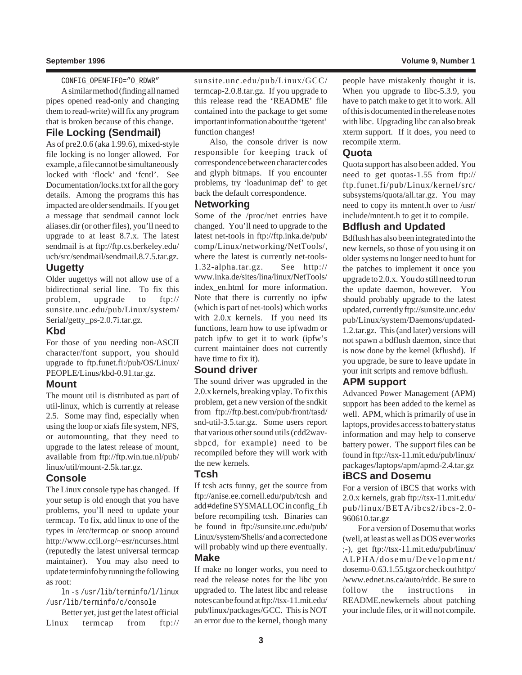#### **September 1996 Volume 9, Number 1**

CONFIG\_OPENFIFO="O\_RDWR"

A similar method (finding all named pipes opened read-only and changing them to read-write) will fix any program that is broken because of this change.

## **File Locking (Sendmail)**

As of pre2.0.6 (aka 1.99.6), mixed-style file locking is no longer allowed. For example, a file cannot be simultaneously locked with 'flock' and 'fcntl'. See Documentation/locks.txt for all the gory details. Among the programs this has impacted are older sendmails. If you get a message that sendmail cannot lock aliases.dir (or other files), you'll need to upgrade to at least 8.7.x. The latest sendmail is at ftp://ftp.cs.berkeley.edu/ ucb/src/sendmail/sendmail.8.7.5.tar.gz.

### **Uugetty**

Older uugettys will not allow use of a bidirectional serial line. To fix this problem, upgrade to ftp:// sunsite.unc.edu/pub/Linux/system/ Serial/getty\_ps-2.0.7i.tar.gz.

#### **Kbd**

For those of you needing non-ASCII character/font support, you should upgrade to ftp.funet.fi:/pub/OS/Linux/ PEOPLE/Linus/kbd-0.91.tar.gz.

#### **Mount**

The mount util is distributed as part of util-linux, which is currently at release 2.5. Some may find, especially when using the loop or xiafs file system, NFS, or automounting, that they need to upgrade to the latest release of mount, available from ftp://ftp.win.tue.nl/pub/ linux/util/mount-2.5k.tar.gz.

#### **Console**

The Linux console type has changed. If your setup is old enough that you have problems, you'll need to update your termcap. To fix, add linux to one of the types in /etc/termcap or snoop around http://www.ccil.org/~esr/ncurses.html (reputedly the latest universal termcap maintainer). You may also need to update terminfo by running the following as root:

ln -s /usr/lib/terminfo/l/linux /usr/lib/terminfo/c/console

Better yet, just get the latest official Linux termcap from ftp://

sunsite.unc.edu/pub/Linux/GCC/ termcap-2.0.8.tar.gz. If you upgrade to this release read the 'README' file contained into the package to get some important information about the 'tgetent' function changes!

Also, the console driver is now responsible for keeping track of correspondence between character codes and glyph bitmaps. If you encounter problems, try 'loadunimap def' to get back the default correspondence.

#### **Networking**

Some of the /proc/net entries have changed. You'll need to upgrade to the latest net-tools in ftp://ftp.inka.de/pub/ comp/Linux/networking/NetTools/, where the latest is currently net-tools-1.32-alpha.tar.gz. See http:// www.inka.de/sites/lina/linux/NetTools/ index\_en.html for more information. Note that there is currently no ipfw (which is part of net-tools) which works with 2.0.x kernels. If you need its functions, learn how to use ipfwadm or patch ipfw to get it to work (ipfw's current maintainer does not currently have time to fix it).

#### **Sound driver**

The sound driver was upgraded in the 2.0.x kernels, breaking vplay. To fix this problem, get a new version of the sndkit from ftp://ftp.best.com/pub/front/tasd/ snd-util-3.5.tar.gz. Some users report that various other sound utils (cdd2wavsbpcd, for example) need to be recompiled before they will work with the new kernels.

#### **Tcsh**

If tcsh acts funny, get the source from ftp://anise.ee.cornell.edu/pub/tcsh and add #define SYSMALLOC in config\_f.h before recompiling tcsh. Binaries can be found in ftp://sunsite.unc.edu/pub/ Linux/system/Shells/ and a corrected one will probably wind up there eventually. **Make**

If make no longer works, you need to read the release notes for the libc you upgraded to. The latest libc and release notes can be found at ftp://tsx-11.mit.edu/ pub/linux/packages/GCC. This is NOT an error due to the kernel, though many people have mistakenly thought it is. When you upgrade to libc-5.3.9, you have to patch make to get it to work. All of this is documented in the release notes with libc. Upgrading libc can also break xterm support. If it does, you need to recompile xterm.

#### **Quota**

Quota support has also been added. You need to get quotas-1.55 from ftp:// ftp.funet.fi/pub/Linux/kernel/src/ subsystems/quota/all.tar.gz. You may need to copy its mntent.h over to /usr/ include/mntent.h to get it to compile.

# **Bdflush and Updated**

Bdflush has also been integrated into the new kernels, so those of you using it on older systems no longer need to hunt for the patches to implement it once you upgrade to 2.0.x. You do still need to run the update daemon, however. You should probably upgrade to the latest updated, currently ftp://sunsite.unc.edu/ pub/Linux/system/Daemons/updated-1.2.tar.gz. This (and later) versions will not spawn a bdflush daemon, since that is now done by the kernel (kflushd). If you upgrade, be sure to leave update in your init scripts and remove bdflush.

## **APM support**

Advanced Power Management (APM) support has been added to the kernel as well. APM, which is primarily of use in laptops, provides access to battery status information and may help to conserve battery power. The support files can be found in ftp://tsx-11.mit.edu/pub/linux/ packages/laptops/apm/apmd-2.4.tar.gz

# **iBCS and Dosemu**

For a version of iBCS that works with 2.0.x kernels, grab ftp://tsx-11.mit.edu/ pub/linux/BETA/ibcs2/ibcs-2.0- 960610.tar.gz

For a version of Dosemu that works (well, at least as well as DOS ever works ;-), get ftp://tsx-11.mit.edu/pub/linux/ ALPHA/dosemu/Development/ dosemu-0.63.1.55.tgz or check out http:/ /www.ednet.ns.ca/auto/rddc. Be sure to follow the instructions in README.newkernels about patching your include files, or it will not compile.